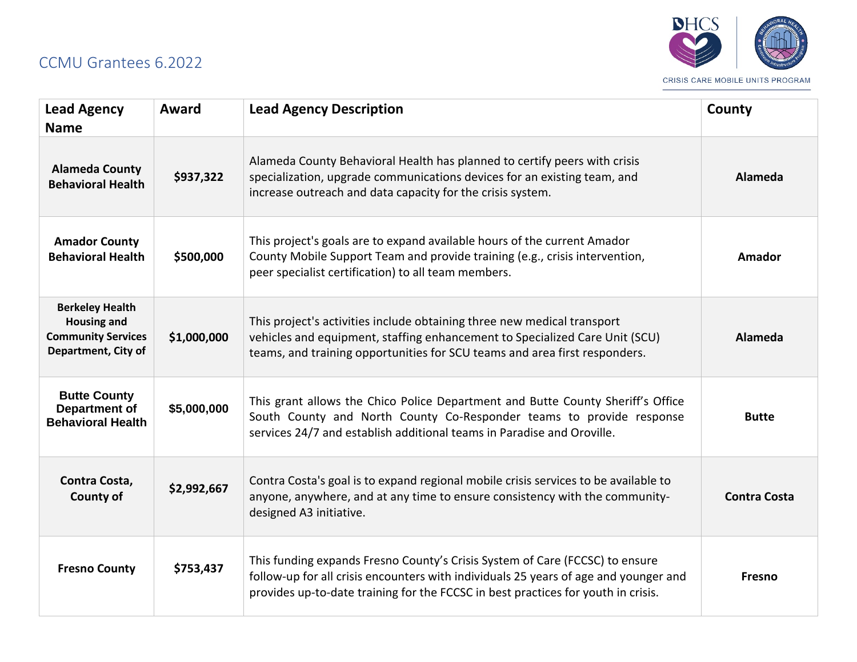## CCMU Grantees 6.2022



| <b>Lead Agency</b><br><b>Name</b>                                                                | Award       | <b>Lead Agency Description</b>                                                                                                                                                                                                                            | County              |
|--------------------------------------------------------------------------------------------------|-------------|-----------------------------------------------------------------------------------------------------------------------------------------------------------------------------------------------------------------------------------------------------------|---------------------|
| <b>Alameda County</b><br><b>Behavioral Health</b>                                                | \$937,322   | Alameda County Behavioral Health has planned to certify peers with crisis<br>specialization, upgrade communications devices for an existing team, and<br>increase outreach and data capacity for the crisis system.                                       | <b>Alameda</b>      |
| <b>Amador County</b><br><b>Behavioral Health</b>                                                 | \$500,000   | This project's goals are to expand available hours of the current Amador<br>County Mobile Support Team and provide training (e.g., crisis intervention,<br>peer specialist certification) to all team members.                                            | Amador              |
| <b>Berkeley Health</b><br><b>Housing and</b><br><b>Community Services</b><br>Department, City of | \$1,000,000 | This project's activities include obtaining three new medical transport<br>vehicles and equipment, staffing enhancement to Specialized Care Unit (SCU)<br>teams, and training opportunities for SCU teams and area first responders.                      | Alameda             |
| <b>Butte County</b><br>Department of<br><b>Behavioral Health</b>                                 | \$5,000,000 | This grant allows the Chico Police Department and Butte County Sheriff's Office<br>South County and North County Co-Responder teams to provide response<br>services 24/7 and establish additional teams in Paradise and Oroville.                         | <b>Butte</b>        |
| Contra Costa,<br>County of                                                                       | \$2,992,667 | Contra Costa's goal is to expand regional mobile crisis services to be available to<br>anyone, anywhere, and at any time to ensure consistency with the community-<br>designed A3 initiative.                                                             | <b>Contra Costa</b> |
| <b>Fresno County</b>                                                                             | \$753,437   | This funding expands Fresno County's Crisis System of Care (FCCSC) to ensure<br>follow-up for all crisis encounters with individuals 25 years of age and younger and<br>provides up-to-date training for the FCCSC in best practices for youth in crisis. | Fresno              |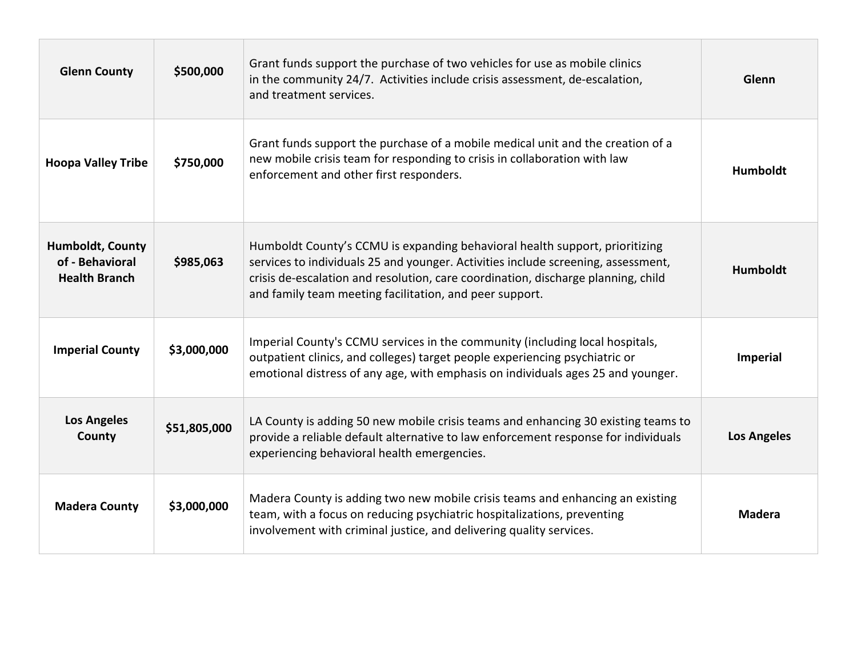| <b>Glenn County</b>                                                | \$500,000    | Grant funds support the purchase of two vehicles for use as mobile clinics<br>in the community 24/7. Activities include crisis assessment, de-escalation,<br>and treatment services.                                                                                                                             | Glenn              |
|--------------------------------------------------------------------|--------------|------------------------------------------------------------------------------------------------------------------------------------------------------------------------------------------------------------------------------------------------------------------------------------------------------------------|--------------------|
| <b>Hoopa Valley Tribe</b>                                          | \$750,000    | Grant funds support the purchase of a mobile medical unit and the creation of a<br>new mobile crisis team for responding to crisis in collaboration with law<br>enforcement and other first responders.                                                                                                          | <b>Humboldt</b>    |
| <b>Humboldt, County</b><br>of - Behavioral<br><b>Health Branch</b> | \$985,063    | Humboldt County's CCMU is expanding behavioral health support, prioritizing<br>services to individuals 25 and younger. Activities include screening, assessment,<br>crisis de-escalation and resolution, care coordination, discharge planning, child<br>and family team meeting facilitation, and peer support. | <b>Humboldt</b>    |
| <b>Imperial County</b>                                             | \$3,000,000  | Imperial County's CCMU services in the community (including local hospitals,<br>outpatient clinics, and colleges) target people experiencing psychiatric or<br>emotional distress of any age, with emphasis on individuals ages 25 and younger.                                                                  | <b>Imperial</b>    |
| <b>Los Angeles</b><br>County                                       | \$51,805,000 | LA County is adding 50 new mobile crisis teams and enhancing 30 existing teams to<br>provide a reliable default alternative to law enforcement response for individuals<br>experiencing behavioral health emergencies.                                                                                           | <b>Los Angeles</b> |
| <b>Madera County</b>                                               | \$3,000,000  | Madera County is adding two new mobile crisis teams and enhancing an existing<br>team, with a focus on reducing psychiatric hospitalizations, preventing<br>involvement with criminal justice, and delivering quality services.                                                                                  | <b>Madera</b>      |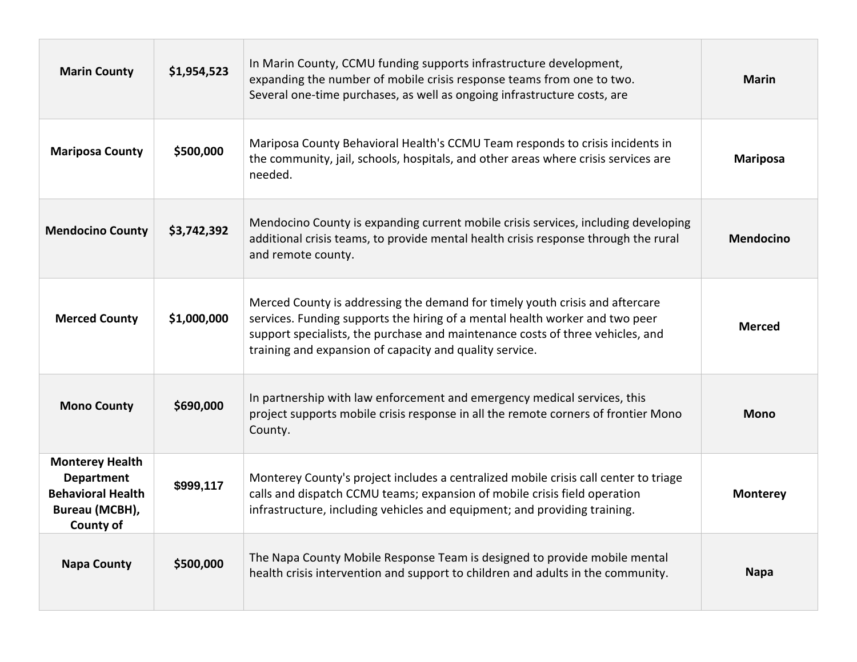| <b>Marin County</b>                                                                                           | \$1,954,523 | In Marin County, CCMU funding supports infrastructure development,<br>expanding the number of mobile crisis response teams from one to two.<br>Several one-time purchases, as well as ongoing infrastructure costs, are                                                                                   | <b>Marin</b>     |
|---------------------------------------------------------------------------------------------------------------|-------------|-----------------------------------------------------------------------------------------------------------------------------------------------------------------------------------------------------------------------------------------------------------------------------------------------------------|------------------|
| <b>Mariposa County</b>                                                                                        | \$500,000   | Mariposa County Behavioral Health's CCMU Team responds to crisis incidents in<br>the community, jail, schools, hospitals, and other areas where crisis services are<br>needed.                                                                                                                            | <b>Mariposa</b>  |
| <b>Mendocino County</b>                                                                                       | \$3,742,392 | Mendocino County is expanding current mobile crisis services, including developing<br>additional crisis teams, to provide mental health crisis response through the rural<br>and remote county.                                                                                                           | <b>Mendocino</b> |
| <b>Merced County</b>                                                                                          | \$1,000,000 | Merced County is addressing the demand for timely youth crisis and aftercare<br>services. Funding supports the hiring of a mental health worker and two peer<br>support specialists, the purchase and maintenance costs of three vehicles, and<br>training and expansion of capacity and quality service. | <b>Merced</b>    |
| <b>Mono County</b>                                                                                            | \$690,000   | In partnership with law enforcement and emergency medical services, this<br>project supports mobile crisis response in all the remote corners of frontier Mono<br>County.                                                                                                                                 | <b>Mono</b>      |
| <b>Monterey Health</b><br><b>Department</b><br><b>Behavioral Health</b><br>Bureau (MCBH),<br><b>County of</b> | \$999,117   | Monterey County's project includes a centralized mobile crisis call center to triage<br>calls and dispatch CCMU teams; expansion of mobile crisis field operation<br>infrastructure, including vehicles and equipment; and providing training.                                                            | <b>Monterey</b>  |
| <b>Napa County</b>                                                                                            | \$500,000   | The Napa County Mobile Response Team is designed to provide mobile mental<br>health crisis intervention and support to children and adults in the community.                                                                                                                                              | <b>Napa</b>      |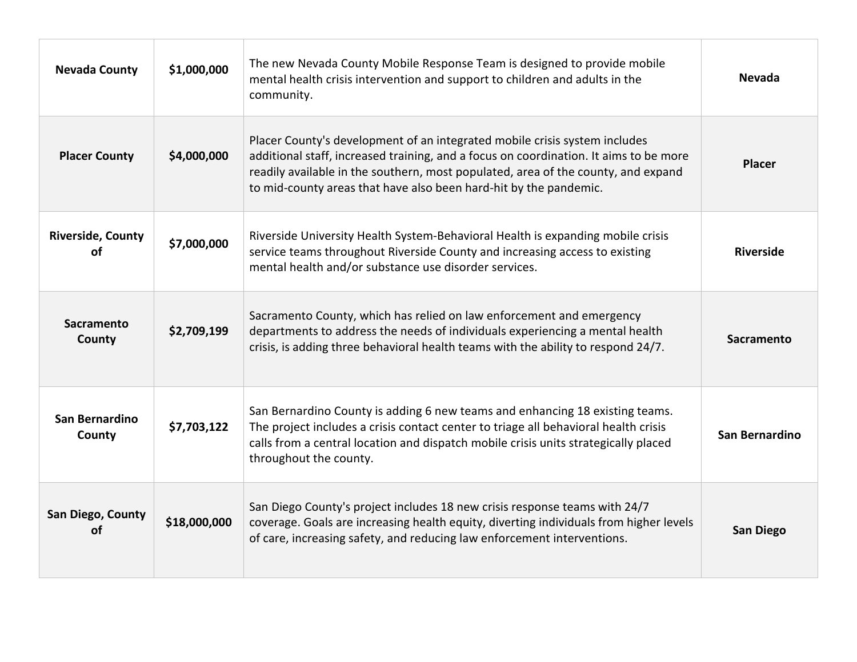| <b>Nevada County</b>           | \$1,000,000  | The new Nevada County Mobile Response Team is designed to provide mobile<br>mental health crisis intervention and support to children and adults in the<br>community.                                                                                                                                                         | <b>Nevada</b>    |
|--------------------------------|--------------|-------------------------------------------------------------------------------------------------------------------------------------------------------------------------------------------------------------------------------------------------------------------------------------------------------------------------------|------------------|
| <b>Placer County</b>           | \$4,000,000  | Placer County's development of an integrated mobile crisis system includes<br>additional staff, increased training, and a focus on coordination. It aims to be more<br>readily available in the southern, most populated, area of the county, and expand<br>to mid-county areas that have also been hard-hit by the pandemic. | <b>Placer</b>    |
| <b>Riverside, County</b><br>οf | \$7,000,000  | Riverside University Health System-Behavioral Health is expanding mobile crisis<br>service teams throughout Riverside County and increasing access to existing<br>mental health and/or substance use disorder services.                                                                                                       | <b>Riverside</b> |
| Sacramento<br>County           | \$2,709,199  | Sacramento County, which has relied on law enforcement and emergency<br>departments to address the needs of individuals experiencing a mental health<br>crisis, is adding three behavioral health teams with the ability to respond 24/7.                                                                                     | Sacramento       |
| San Bernardino<br>County       | \$7,703,122  | San Bernardino County is adding 6 new teams and enhancing 18 existing teams.<br>The project includes a crisis contact center to triage all behavioral health crisis<br>calls from a central location and dispatch mobile crisis units strategically placed<br>throughout the county.                                          | San Bernardino   |
| San Diego, County<br>οf        | \$18,000,000 | San Diego County's project includes 18 new crisis response teams with 24/7<br>coverage. Goals are increasing health equity, diverting individuals from higher levels<br>of care, increasing safety, and reducing law enforcement interventions.                                                                               | <b>San Diego</b> |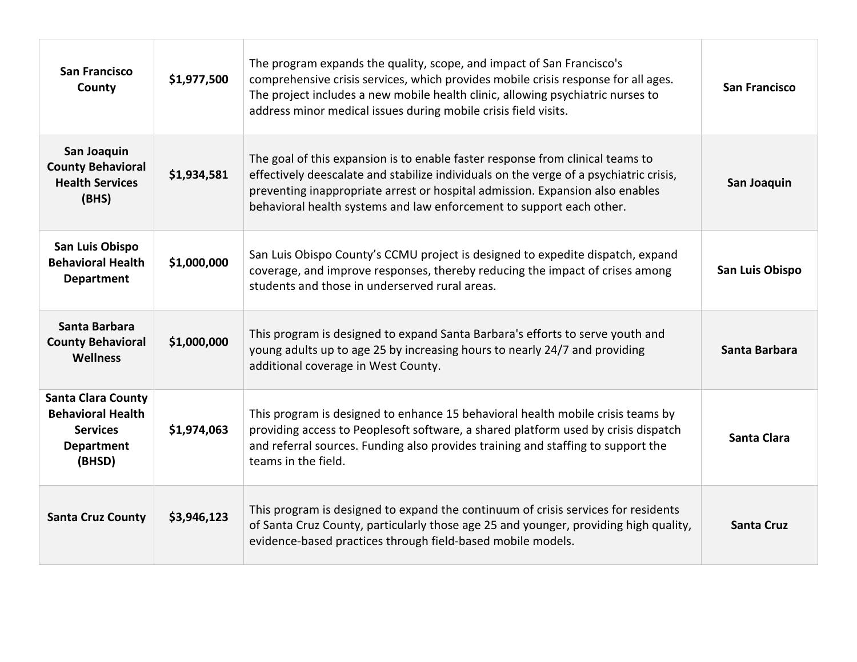| <b>San Francisco</b><br>County                                                                          | \$1,977,500 | The program expands the quality, scope, and impact of San Francisco's<br>comprehensive crisis services, which provides mobile crisis response for all ages.<br>The project includes a new mobile health clinic, allowing psychiatric nurses to<br>address minor medical issues during mobile crisis field visits.                 | <b>San Francisco</b> |
|---------------------------------------------------------------------------------------------------------|-------------|-----------------------------------------------------------------------------------------------------------------------------------------------------------------------------------------------------------------------------------------------------------------------------------------------------------------------------------|----------------------|
| San Joaquin<br><b>County Behavioral</b><br><b>Health Services</b><br>(BHS)                              | \$1,934,581 | The goal of this expansion is to enable faster response from clinical teams to<br>effectively deescalate and stabilize individuals on the verge of a psychiatric crisis,<br>preventing inappropriate arrest or hospital admission. Expansion also enables<br>behavioral health systems and law enforcement to support each other. | San Joaquin          |
| San Luis Obispo<br><b>Behavioral Health</b><br><b>Department</b>                                        | \$1,000,000 | San Luis Obispo County's CCMU project is designed to expedite dispatch, expand<br>coverage, and improve responses, thereby reducing the impact of crises among<br>students and those in underserved rural areas.                                                                                                                  | San Luis Obispo      |
| Santa Barbara<br><b>County Behavioral</b><br><b>Wellness</b>                                            | \$1,000,000 | This program is designed to expand Santa Barbara's efforts to serve youth and<br>young adults up to age 25 by increasing hours to nearly 24/7 and providing<br>additional coverage in West County.                                                                                                                                | Santa Barbara        |
| <b>Santa Clara County</b><br><b>Behavioral Health</b><br><b>Services</b><br><b>Department</b><br>(BHSD) | \$1,974,063 | This program is designed to enhance 15 behavioral health mobile crisis teams by<br>providing access to Peoplesoft software, a shared platform used by crisis dispatch<br>and referral sources. Funding also provides training and staffing to support the<br>teams in the field.                                                  | <b>Santa Clara</b>   |
| <b>Santa Cruz County</b>                                                                                | \$3,946,123 | This program is designed to expand the continuum of crisis services for residents<br>of Santa Cruz County, particularly those age 25 and younger, providing high quality,<br>evidence-based practices through field-based mobile models.                                                                                          | <b>Santa Cruz</b>    |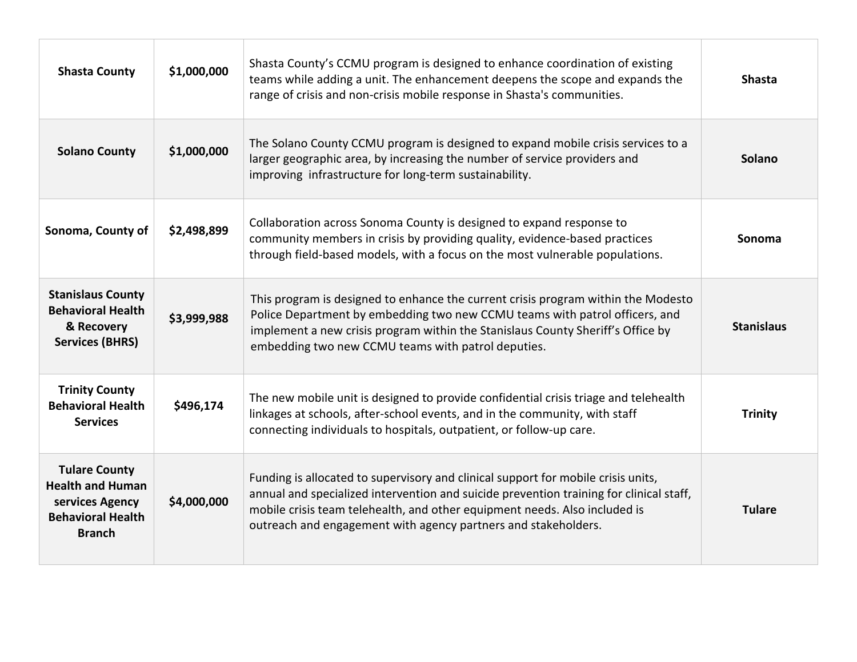| <b>Shasta County</b>                                                                                            | \$1,000,000 | Shasta County's CCMU program is designed to enhance coordination of existing<br>teams while adding a unit. The enhancement deepens the scope and expands the<br>range of crisis and non-crisis mobile response in Shasta's communities.                                                                                      | <b>Shasta</b>     |
|-----------------------------------------------------------------------------------------------------------------|-------------|------------------------------------------------------------------------------------------------------------------------------------------------------------------------------------------------------------------------------------------------------------------------------------------------------------------------------|-------------------|
| <b>Solano County</b>                                                                                            | \$1,000,000 | The Solano County CCMU program is designed to expand mobile crisis services to a<br>larger geographic area, by increasing the number of service providers and<br>improving infrastructure for long-term sustainability.                                                                                                      | Solano            |
| Sonoma, County of                                                                                               | \$2,498,899 | Collaboration across Sonoma County is designed to expand response to<br>community members in crisis by providing quality, evidence-based practices<br>through field-based models, with a focus on the most vulnerable populations.                                                                                           | Sonoma            |
| <b>Stanislaus County</b><br><b>Behavioral Health</b><br>& Recovery<br><b>Services (BHRS)</b>                    | \$3,999,988 | This program is designed to enhance the current crisis program within the Modesto<br>Police Department by embedding two new CCMU teams with patrol officers, and<br>implement a new crisis program within the Stanislaus County Sheriff's Office by<br>embedding two new CCMU teams with patrol deputies.                    | <b>Stanislaus</b> |
| <b>Trinity County</b><br><b>Behavioral Health</b><br><b>Services</b>                                            | \$496,174   | The new mobile unit is designed to provide confidential crisis triage and telehealth<br>linkages at schools, after-school events, and in the community, with staff<br>connecting individuals to hospitals, outpatient, or follow-up care.                                                                                    | <b>Trinity</b>    |
| <b>Tulare County</b><br><b>Health and Human</b><br>services Agency<br><b>Behavioral Health</b><br><b>Branch</b> | \$4,000,000 | Funding is allocated to supervisory and clinical support for mobile crisis units,<br>annual and specialized intervention and suicide prevention training for clinical staff,<br>mobile crisis team telehealth, and other equipment needs. Also included is<br>outreach and engagement with agency partners and stakeholders. | <b>Tulare</b>     |